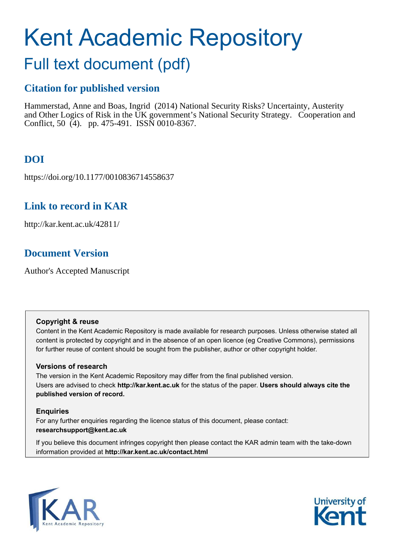# Kent Academic Repository

# Full text document (pdf)

## **Citation for published version**

Hammerstad, Anne and Boas, Ingrid (2014) National Security Risks? Uncertainty, Austerity and Other Logics of Risk in the UK government's National Security Strategy. Cooperation and Conflict, 50 (4). pp. 475-491. ISSN 0010-8367.

# **DOI**

https://doi.org/10.1177/0010836714558637

## **Link to record in KAR**

http://kar.kent.ac.uk/42811/

## **Document Version**

Author's Accepted Manuscript

#### **Copyright & reuse**

Content in the Kent Academic Repository is made available for research purposes. Unless otherwise stated all content is protected by copyright and in the absence of an open licence (eg Creative Commons), permissions for further reuse of content should be sought from the publisher, author or other copyright holder.

#### **Versions of research**

The version in the Kent Academic Repository may differ from the final published version. Users are advised to check **http://kar.kent.ac.uk** for the status of the paper. **Users should always cite the published version of record.**

#### **Enquiries**

For any further enquiries regarding the licence status of this document, please contact: **researchsupport@kent.ac.uk**

If you believe this document infringes copyright then please contact the KAR admin team with the take-down information provided at **http://kar.kent.ac.uk/contact.html**



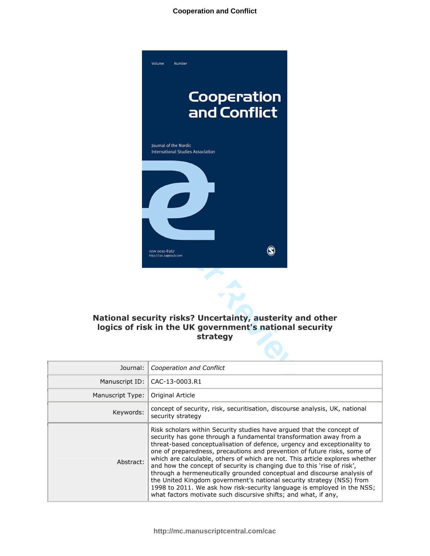

#### National security risks? Uncertainty, austerity and other logics of risk in the UK government's national security strategy

 $\bullet$ 

| Journal:         | Cooperation and Conflict                                                                                                                                                                                                                                                                                                                                                                                                                                                                                                                                                                                                                                                                                                                                         |
|------------------|------------------------------------------------------------------------------------------------------------------------------------------------------------------------------------------------------------------------------------------------------------------------------------------------------------------------------------------------------------------------------------------------------------------------------------------------------------------------------------------------------------------------------------------------------------------------------------------------------------------------------------------------------------------------------------------------------------------------------------------------------------------|
|                  | Manuscript ID:   CAC-13-0003.R1                                                                                                                                                                                                                                                                                                                                                                                                                                                                                                                                                                                                                                                                                                                                  |
| Manuscript Type: | Original Article                                                                                                                                                                                                                                                                                                                                                                                                                                                                                                                                                                                                                                                                                                                                                 |
| Keywords:        | concept of security, risk, securitisation, discourse analysis, UK, national<br>security strategy                                                                                                                                                                                                                                                                                                                                                                                                                                                                                                                                                                                                                                                                 |
| Abstract:        | Risk scholars within Security studies have argued that the concept of<br>security has gone through a fundamental transformation away from a<br>threat-based conceptualisation of defence, urgency and exceptionality to<br>one of preparedness, precautions and prevention of future risks, some of<br>which are calculable, others of which are not. This article explores whether<br>and how the concept of security is changing due to this 'rise of risk',<br>through a hermeneutically grounded conceptual and discourse analysis of<br>the United Kingdom government's national security strategy (NSS) from<br>1998 to 2011. We ask how risk-security language is employed in the NSS;<br>what factors motivate such discursive shifts; and what, if any, |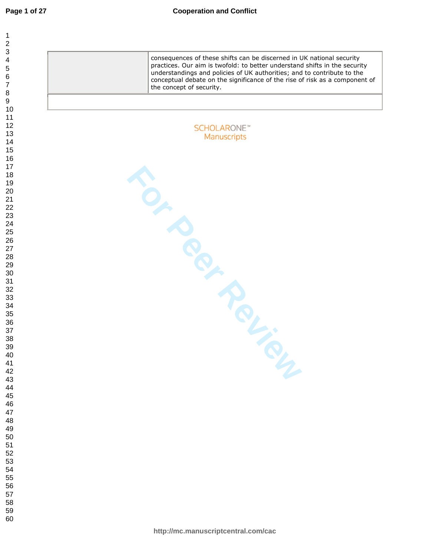| 1              |  |
|----------------|--|
| $\overline{c}$ |  |
|                |  |
|                |  |
|                |  |
|                |  |
|                |  |
|                |  |
|                |  |
|                |  |
|                |  |
|                |  |
|                |  |
|                |  |
|                |  |
|                |  |
|                |  |
|                |  |
|                |  |
|                |  |
|                |  |
|                |  |
|                |  |
|                |  |
|                |  |
|                |  |
|                |  |
|                |  |
|                |  |
|                |  |
|                |  |
|                |  |
|                |  |
|                |  |
|                |  |
|                |  |
|                |  |
|                |  |
|                |  |
|                |  |
| 39             |  |
|                |  |
| 40             |  |
| 41             |  |
| 42             |  |
| 43             |  |
| 44             |  |
| 45             |  |
| 46             |  |
| 47             |  |
| 48             |  |
| 49             |  |
| 50             |  |
| 51             |  |
| - .<br>52      |  |
| 53             |  |
| 54             |  |
|                |  |
| 55             |  |
| 56             |  |
| 57             |  |
| 58             |  |
| 59             |  |
| 60             |  |

consequences of these shifts can be discerned in UK national security practices. Our aim is twofold: to better understand shifts in the security understandings and policies of UK authorities; and to contribute to the conceptual debate on the significance of the rise of risk as a component of the concept of security. **SCHOLARONE™ FOR PROVISING** Manuscripts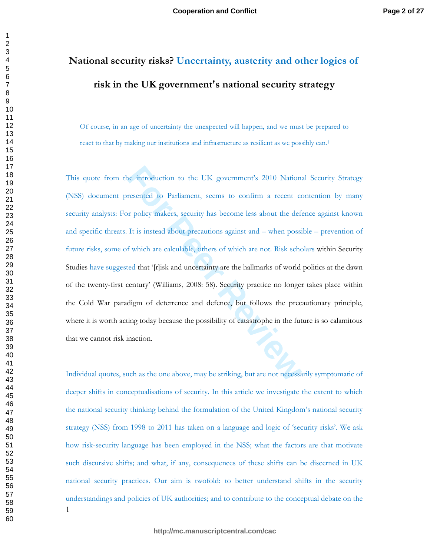# $\blacksquare$  National security risks? Uncertainty, austerity and other logics of risk in the UK government's national security strategy

Of course, in an age of uncertainty the unexpected will happen, and we must be prepared to react to that by making our institutions and infrastructure as resilient as we possibly can.<sup>1</sup>

ne introduction to the UK government's 2010 Nations<br>resented to Parliament, seems to confirm a recent corpolicy makers, security has become less about the defect<br>It is instead about precautions against and – when possi<br>f w This quote from the introduction to the UK government's 2010 National Security Strategy (NSS) document presented to Parliament, seems to confirm a recent contention by many security analysts: For policy makers, security has become less about the defence against known and specific threats. It is instead about precautions against and – when possible – prevention of future risks, some of which are calculable, others of which are not. Risk scholars within Security Studies have suggested that '[r]isk and uncertainty are the hallmarks of world politics at the dawn of the twenty-first century' (Williams, 2008: 58). Security practice no longer takes place within the Cold War paradigm of deterrence and defence, but follows the precautionary principle, where it is worth acting today because the possibility of catastrophe in the future is so calamitous that we cannot risk inaction.

-Individual quotes, such as the one above, may be striking, but are not necessarily symptomatic of deeper shifts in conceptualisations of security. In this article we investigate the extent to which the national security thinking behind the formulation of the United Kingdom's national security strategy (NSS) from 1998 to 2011 has taken on a language and logic of 'security risks'. We ask how risk-security language has been employed in the NSS; what the factors are that motivate such discursive shifts; and what, if any, consequences of these shifts can be discerned in UK national security practices. Our aim is twofold: to better understand shifts in the security understandings and policies of UK authorities; and to contribute to the conceptual debate on the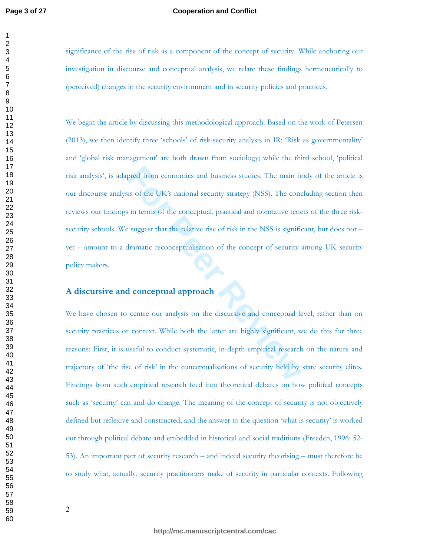#### **Cooperation and Conflict**

significance of the rise of risk as a component of the concept of security. While anchoring our investigation in discourse and conceptual analysis, we relate these findings hermeneutically to (perceived) changes in the security environment and in security policies and practices.

pred from economics and business studies. The main be<br>
is of the UK's national security strategy (NSS). The conce<br>
is in terms of the conceptual, practical and normative tene<br>
e suggest that the relative rise of risk in th We begin the article by discussing this methodological approach. Based on the work of Petersen (2013), we then identify three 'schools' of risk-security analysis in IR: 'Risk as governmentality' and 'global risk management' are both drawn from sociology; while the third school, 'political risk analysis', is adapted from economics and business studies. The main body of the article is our discourse analysis of the UK's national security strategy (NSS). The concluding section then reviews our findings in terms of the conceptual, practical and normative tenets of the three risksecurity schools. We suggest that the relative rise of risk in the NSS is significant, but does not  $$ yet - amount to a dramatic reconceptualisation of the concept of security among UK security policy makers.

#### A discursive and conceptual approach

We have chosen to centre our analysis on the discursive and conceptual level, rather than on security practices or context. While both the latter are highly significant, we do this for three reasons: First, it is useful to conduct systematic, in-depth empirical research on the nature and trajectory of 'the rise of risk' in the conceptualisations of security held by state security elites. Findings from such empirical research feed into theoretical debates on how political concepts such as 'security' can and do change. The meaning of the concept of security is not objectively defined but reflexive and constructed, and the answer to the question 'what is security' is worked out through political debate and embedded in historical and social traditions (Freeden, 1996: 52-53). An important part of security research – and indeed security theorising – must therefore be to study what, actually, security practitioners make of security in particular contexts. Following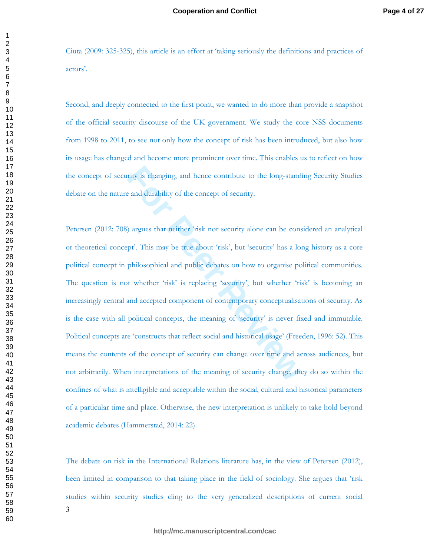Ciuta (2009: 325-325), this article is an effort at 'taking seriously the definitions and practices of actors'.

Second, and deeply connected to the first point, we wanted to do more than provide a snapshot of the official security discourse of the UK government. We study the core NSS documents from 1998 to 2011, to see not only how the concept of risk has been introduced, but also how its usage has changed and become more prominent over time. This enables us to reflect on how the concept of security is changing, and hence contribute to the long-standing Security Studies debate on the nature and durability of the concept of security.

rity is changing, and hence contribute to the long-standie and durability of the concept of security.<br>
) argues that neither 'risk nor security alone can be conspt'. This may be true about 'risk', but 'security' has a lor<br> Petersen (2012: 708) argues that neither 'risk nor security alone can be considered an analytical or theoretical concept'. This may be true about 'risk', but 'security' has a long history as a core political concept in philosophical and public debates on how to organise political communities. The question is not whether 'risk' is replacing 'security', but whether 'risk' is becoming an increasingly central and accepted component of contemporary conceptualisations of security. As is the case with all political concepts, the meaning of 'security' is never fixed and immutable. Political concepts are 'constructs that reflect social and historical usage' (Freeden, 1996: 52). This means the contents of the concept of security can change over time and across audiences, but not arbitrarily. When interpretations of the meaning of security change, they do so within the confines of what is intelligible and acceptable within the social, cultural and historical parameters of a particular time and place. Otherwise, the new interpretation is unlikely to take hold beyond academic debates (Hammerstad, 2014: 22).

The debate on risk in the International Relations literature has, in the view of Petersen (2012), been limited in comparison to that taking place in the field of sociology. She argues that 'risk studies within security studies cling to the very generalized descriptions of current social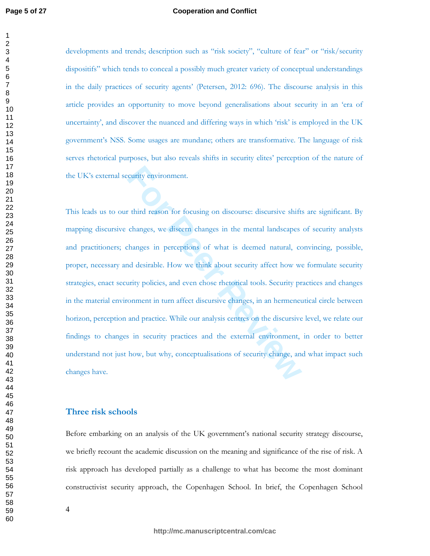#### **Cooperation and Conflict**

developments and trends; description such as "risk society", "culture of fear" or "risk/security dispositifs" which tends to conceal a possibly much greater variety of conceptual understandings in the daily practices of security agents' (Petersen, 2012: 696). The discourse analysis in this article provides an opportunity to move beyond generalisations about security in an 'era of uncertainty', and discover the nuanced and differing ways in which 'risk' is employed in the UK government's NSS. Some usages are mundane; others are transformative. The language of risk serves rhetorical purposes, but also reveals shifts in security elites' perception of the nature of the UK's external security environment.

**Follow Exercise Solution** Constrainers and the set of security changes, we discern changes in the mental landscapes changes in perceptions of what is deemed natural, cond desirable. How we think about security affect how This leads us to our third reason for focusing on discourse: discursive shifts are significant. By mapping discursive changes, we discern changes in the mental landscapes of security analysts and practitioners; changes in perceptions of what is deemed natural, convincing, possible, proper, necessary and desirable. How we think about security affect how we formulate security strategies, enact security policies, and even chose rhetorical tools. Security practices and changes in the material environment in turn affect discursive changes, in an hermeneutical circle between horizon, perception and practice. While our analysis centres on the discursive level, we relate our findings to changes in security practices and the external environment, in order to better understand not just how, but why, conceptualisations of security change, and what impact such changes have.

#### Three risk schools

Before embarking on an analysis of the UK government's national security strategy discourse, we briefly recount the academic discussion on the meaning and significance of the rise of risk. A risk approach has developed partially as a challenge to what has become the most dominant constructivist security approach, the Copenhagen School. In brief, the Copenhagen School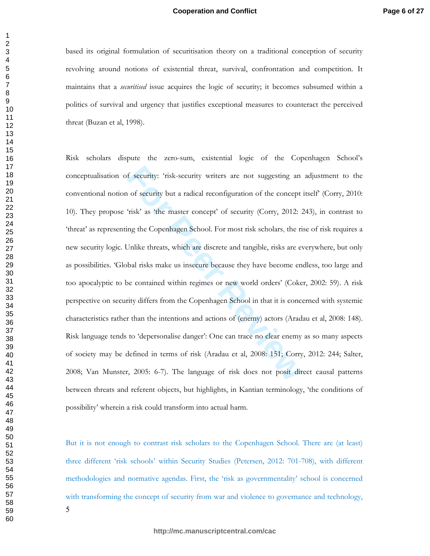based its original formulation of securitisation theory on a traditional conception of security revolving around notions of existential threat, survival, confrontation and competition. It maintains that a *securitised* issue acquires the logic of security; it becomes subsumed within a politics of survival and urgency that justifies exceptional measures to counteract the perceived threat (Buzan et al, 1998).

f security: 'risk-security writers are not suggesting an of security but a radical reconfiguration of the concept 'risk' as 'the master concept' of security (Corry, 2012: 2<br>ng the Copenhagen School. For most risk scholars, Risk scholars dispute the zero-sum, existential logic of the Copenhagen School's conceptualisation of security: 'risk-security writers are not suggesting an adjustment to the conventional notion of security but a radical reconfiguration of the concept itself (Corry, 2010: 10). They propose 'risk' as 'the master concept' of security (Corry, 2012: 243), in contrast to 'threat' as representing the Copenhagen School. For most risk scholars, the rise of risk requires a new security logic. Unlike threats, which are discrete and tangible, risks are everywhere, but only as possibilities. 'Global risks make us insecure because they have become endless, too large and too apocalyptic to be contained within regimes or new world orders' (Coker, 2002: 59). A risk perspective on security differs from the Copenhagen School in that it is concerned with systemic characteristics rather than the intentions and actions of (enemy) actors (Aradau et al, 2008: 148). Risk language tends to 'depersonalise danger': One can trace no clear enemy as so many aspects of society may be defined in terms of risk (Aradau et al, 2008: 151; Corry, 2012: 244; Salter, 2008; Van Munster, 2005: 6-7). The language of risk does not posit direct causal patterns between threats and referent objects, but highlights, in Kantian terminology, 'the conditions of possibility' wherein a risk could transform into actual harm.

But it is not enough to contrast risk scholars to the Copenhagen School. There are (at least) three different 'risk schools' within Security Studies (Petersen, 2012: 701-708), with different methodologies and normative agendas. First, the 'risk as governmentality' school is concerned with transforming the concept of security from war and violence to governance and technology,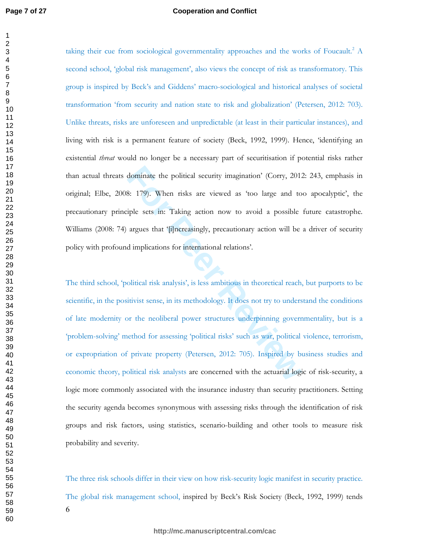#### **Cooperation and Conflict**

taking their cue from sociological governmentality approaches and the works of Foucault.<sup>2</sup> A second school, 'global risk management', also views the concept of risk as transformatory. This group is inspired by Beck's and Giddens' macro-sociological and historical analyses of societal transformation 'from security and nation state to risk and globalization' (Petersen, 2012: 703). Unlike threats, risks are unforeseen and unpredictable (at least in their particular instances), and living with risk is a permanent feature of society (Beck, 1992, 1999). Hence, 'identifying an existential *threat* would no longer be a necessary part of securitisation if potential risks rather than actual threats dominate the political security imagination' (Corry, 2012: 243, emphasis in original; Elbe, 2008: 179). When risks are viewed as 'too large and too apocalyptic', the precautionary principle sets in: Taking action now to avoid a possible future catastrophe. Williams (2008: 74) argues that '[i]ncreasingly, precautionary action will be a driver of security policy with profound implications for international relations'.

dominate the political security imagination' (Corry, 2012<br> **For Peer SET 179).** When risks are viewed as 'too large and to<br>
tiple sets in: Taking action now to avoid a possible<br>
argues that '[i]ncreasingly, precautionary a The third school, 'political risk analysis', is less ambitious in theoretical reach, but purports to be scientific, in the positivist sense, in its methodology. It does not try to understand the conditions of late modernity or the neoliberal power structures underpinning governmentality, but is a 'problem-solving' method for assessing 'political risks' such as war, political violence, terrorism, or expropriation of private property (Petersen, 2012: 705). Inspired by business studies and economic theory, political risk analysts are concerned with the actuarial logic of risk-security, a logic more commonly associated with the insurance industry than security practitioners. Setting the security agenda becomes synonymous with assessing risks through the identification of risk groups and risk factors, using statistics, scenario-building and other tools to measure risk probability and severity.

The three risk schools differ in their view on how risk-security logic manifest in security practice. The global risk management school, inspired by Beck's Risk Society (Beck, 1992, 1999) tends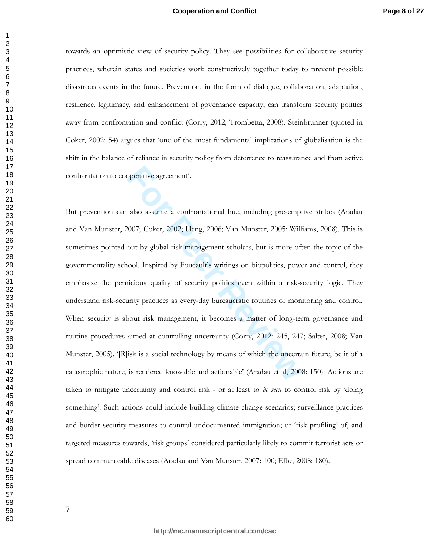#### **Cooperation and Conflict**

towards an optimistic view of security policy. They see possibilities for collaborative security practices, wherein states and societies work constructively together today to prevent possible disastrous events in the future. Prevention, in the form of dialogue, collaboration, adaptation, resilience, legitimacy, and enhancement of governance capacity, can transform security politics away from confrontation and conflict (Corry, 2012; Trombetta, 2008). Steinbrunner (quoted in Coker, 2002: 54) argues that 'one of the most fundamental implications of globalisation is the shift in the balance of reliance in security policy from deterrence to reassurance and from active confrontation to cooperative agreement'.

also assume a confrontational hue, including pre-empt<br>
1007; Coker, 2002; Heng, 2006; Van Munster, 2005; Will<br>
1001 by global risk management scholars, but is more of<br>
1001. Inspired by Foucault's writings on biopolitics, But prevention can also assume a confrontational hue, including pre-emptive strikes (Aradau and Van Munster, 2007; Coker, 2002; Heng, 2006; Van Munster, 2005; Williams, 2008). This is sometimes pointed out by global risk management scholars, but is more often the topic of the governmentality school. Inspired by Foucault's writings on biopolitics, power and control, they emphasise the pernicious quality of security politics even within a risk-security logic. They understand risk-security practices as every-day bureaucratic routines of monitoring and control. When security is about risk management, it becomes a matter of long-term governance and routine procedures aimed at controlling uncertainty (Corry, 2012: 245, 247; Salter, 2008; Van Munster, 2005). '[R]isk is a social technology by means of which the uncertain future, be it of a catastrophic nature, is rendered knowable and actionable' (Aradau et al, 2008: 150). Actions are taken to mitigate uncertainty and control risk - or at least to be seen to control risk by 'doing something'. Such actions could include building climate change scenarios; surveillance practices and border security measures to control undocumented immigration; or 'risk profiling' of, and targeted measures towards, 'risk groups' considered particularly likely to commit terrorist acts or spread communicable diseases (Aradau and Van Munster, 2007: 100; Elbe, 2008: 180).

 $\mathbf{1}$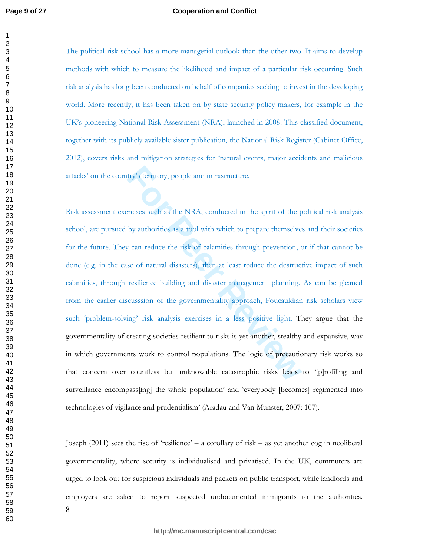$\mathbf{1}$ 

#### **Cooperation and Conflict**

The political risk school has a more managerial outlook than the other two. It aims to develop methods with which to measure the likelihood and impact of a particular risk occurring. Such risk analysis has long been conducted on behalf of companies seeking to invest in the developing world. More recently, it has been taken on by state security policy makers, for example in the UK's pioneering National Risk Assessment (NRA), launched in 2008. This classified document, together with its publicly available sister publication, the National Risk Register (Cabinet Office, 2012), covers risks and mitigation strategies for 'natural events, major accidents and malicious attacks' on the country's territory, people and infrastructure.

try's territory, people and infrastructure.<br>Friscischer State and the Spirit of the p<br>by authorities as a tool with which to prepare themselve<br>*F* can reduce the risk of calamities through prevention, cose of natural disas Risk assessment exercises such as the NRA, conducted in the spirit of the political risk analysis school, are pursued by authorities as a tool with which to prepare themselves and their societies for the future. They can reduce the risk of calamities through prevention, or if that cannot be done (e.g. in the case of natural disasters), then at least reduce the destructive impact of such calamities, through resilience building and disaster management planning. As can be gleaned from the earlier discusssion of the governmentality approach, Foucauldian risk scholars view such 'problem-solving' risk analysis exercises in a less positive light. They argue that the governmentality of creating societies resilient to risks is yet another, stealthy and expansive, way in which governments work to control populations. The logic of precautionary risk works so that concern over countless but unknowable catastrophic risks leads to '[p]rofiling and surveillance encompass[ing] the whole population' and 'everybody [becomes] regimented into technologies of vigilance and prudentialism' (Aradau and Van Munster, 2007: 107).

Joseph  $(2011)$  sees the rise of 'resilience' – a corollary of risk – as yet another cog in neoliberal governmentality, where security is individualised and privatised. In the UK, commuters are urged to look out for suspicious individuals and packets on public transport, while landlords and employers are asked to report suspected undocumented immigrants to the authorities.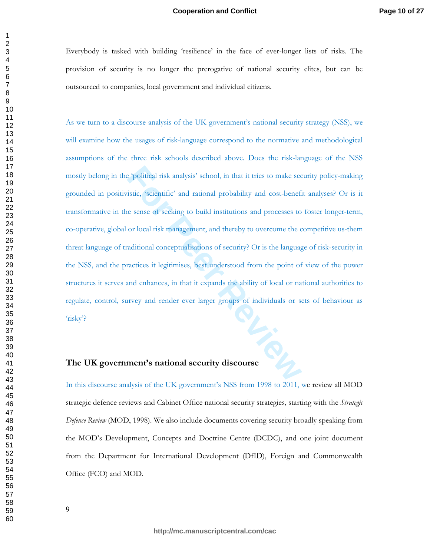Everybody is tasked with building 'resilience' in the face of ever-longer lists of risks. The provision of security is no longer the prerogative of national security elites, but can be outsourced to companies, local government and individual citizens.

**Exercise Algebra** For the section of the section of the section of the section of the section of the section of the section of the section of the section of the section of the section of the section of the section of the As we turn to a discourse analysis of the UK government's national security strategy (NSS), we will examine how the usages of risk-language correspond to the normative and methodological assumptions of the three risk schools described above. Does the risk-language of the NSS mostly belong in the 'political risk analysis' school, in that it tries to make security policy-making grounded in positivistic, 'scientific' and rational probability and cost-benefit analyses? Or is it transformative in the sense of seeking to build institutions and processes to foster longer-term, co-operative, global or local risk management, and thereby to overcome the competitive us-them threat language of traditional conceptualisations of security? Or is the language of risk-security in the NSS, and the practices it legitimises, best understood from the point of view of the power structures it serves and enhances, in that it expands the ability of local or national authorities to regulate, control, survey and render ever larger groups of individuals or sets of behaviour as risky? IL-IC

#### The UK government's national security discourse

In this discourse analysis of the UK government's NSS from 1998 to 2011, we review all MOD strategic defence reviews and Cabinet Office national security strategies, starting with the Strategic Defence Review (MOD, 1998). We also include documents covering security broadly speaking from the MOD's Development, Concepts and Doctrine Centre (DCDC), and one joint document from the Department for International Development (DfID), Foreign and Commonwealth Office (FCO) and MOD.

 $\overline{2}$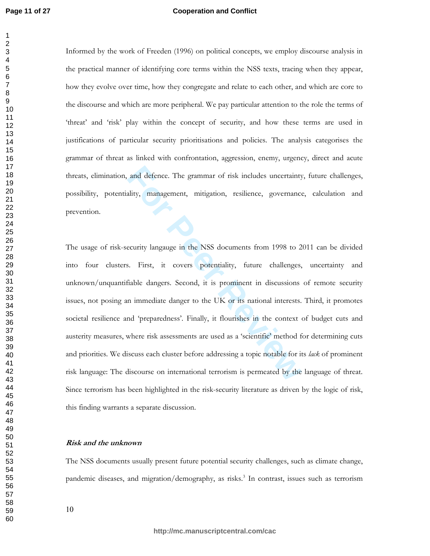$\mathbf{1}$ 

#### **Cooperation and Conflict**

Informed by the work of Freeden (1996) on political concepts, we employ discourse analysis in the practical manner of identifying core terms within the NSS texts, tracing when they appear, how they evolve over time, how they congregate and relate to each other, and which are core to the discourse and which are more peripheral. We pay particular attention to the role the terms of 'threat' and 'risk' play within the concept of security, and how these terms are used in justifications of particular security prioritisations and policies. The analysis categorises the grammar of threat as linked with confrontation, aggression, enemy, urgency, direct and acute threats, elimination, and defence. The grammar of risk includes uncertainty, future challenges, possibility, potentiality, management, mitigation, resilience, governance, calculation and prevention.

and defence. The grammar of risk includes uncertainty<br>ality, management, mitigation, resilience, governance<br>ecurity langauge in the NSS documents from 1998 to 2<br>s. First, it covers potentiality, future challenges,<br>fiable d The usage of risk-security langauge in the NSS documents from 1998 to 2011 can be divided into four clusters. First, it covers potentiality, future challenges, uncertainty and unknown/unquantifiable dangers. Second, it is prominent in discussions of remote security issues, not posing an immediate danger to the UK or its national interests. Third, it promotes societal resilience and 'preparedness'. Finally, it flourishes in the context of budget cuts and austerity measures, where risk assessments are used as a 'scientific' method for determining cuts and priorities. We discuss each cluster before addressing a topic notable for its lack of prominent risk language: The discourse on international terrorism is permeated by the language of threat. Since terrorism has been highlighted in the risk-security literature as driven by the logic of risk, this finding warrants a separate discussion.

#### *Risk and the unknown*

The NSS documents usually present future potential security challenges, such as climate change, pandemic diseases, and migration/demography, as risks.<sup>3</sup> In contrast, issues such as terrorism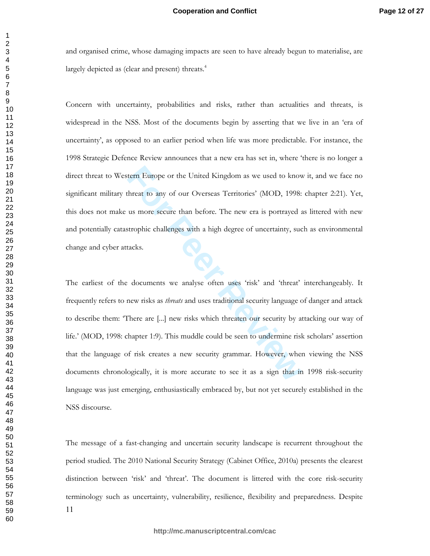and organised crime, whose damaging impacts are seen to have already begun to materialise, are largely depicted as (clear and present) threats.<sup>4</sup>

Concern with uncertainty, probabilities and risks, rather than actualities and threats, is widespread in the NSS. Most of the documents begin by asserting that we live in an 'era of uncertainty', as opposed to an earlier period when life was more predictable. For instance, the 1998 Strategic Defence Review announces that a new era has set in, where 'there is no longer a direct threat to Western Europe or the United Kingdom as we used to know it, and we face no significant military threat to any of our Overseas Territories' (MOD, 1998: chapter 2:21). Yet, this does not make us more secure than before. The new era is portrayed as littered with new and potentially catastrophic challenges with a high degree of uncertainty, such as environmental change and cyber attacks.

tern Europe or the United Kingdom as we used to know<br>threat to any of our Overseas Territories' (MOD, 1998:<br>us more secure than before. The new era is portrayed a<br>strophic challenges with a high degree of uncertainty, suc<br> The earliest of the documents we analyse often uses 'risk' and 'threat' interchangeably. It frequently refers to new risks as *threats* and uses traditional security language of danger and attack to describe them: 'There are [...] new risks which threaten our security by attacking our way of life.' (MOD, 1998: chapter 1:9). This muddle could be seen to undermine risk scholars' assertion that the language of risk creates a new security grammar. However, when viewing the NSS documents chronologically, it is more accurate to see it as a sign that in 1998 risk-security language was just emerging, enthusiastically embraced by, but not yet securely established in the NSS discourse.

-The message of a fast-changing and uncertain security landscape is recurrent throughout the period studied. The 2010 National Security Strategy (Cabinet Office, 2010a) presents the clearest distinction between 'risk' and 'threat'. The document is littered with the core risk-security terminology such as uncertainty, vulnerability, resilience, flexibility and preparedness. Despite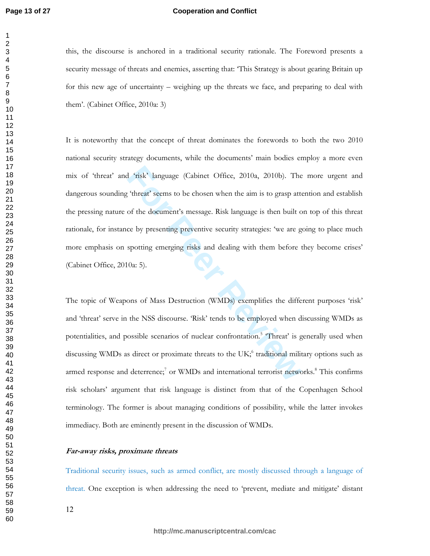#### **Cooperation and Conflict**

this, the discourse is anchored in a traditional security rationale. The Foreword presents a security message of threats and enemies, asserting that: 'This Strategy is about gearing Britain up for this new age of uncertainty – weighing up the threats we face, and preparing to deal with them'. (Cabinet Office, 2010a: 3)

<sup>4</sup> 'risk' language (Cabinet Office, 2010a, 2010b). The<br>
<sup>5</sup> threat' seems to be chosen when the aim is to grasp atternation<br>
of the document's message. Risk language is then built of<br>
ce by presenting preventive security It is noteworthy that the concept of threat dominates the forewords to both the two 2010 national security strategy documents, while the documents' main bodies employ a more even mix of 'threat' and 'risk' language (Cabinet Office, 2010a, 2010b). The more urgent and dangerous sounding 'threat' seems to be chosen when the aim is to grasp attention and establish the pressing nature of the document's message. Risk language is then built on top of this threat rationale, for instance by presenting preventive security strategies: 'we are going to place much more emphasis on spotting emerging risks and dealing with them before they become crises' (Cabinet Office, 2010a: 5).

The topic of Weapons of Mass Destruction (WMDs) exemplifies the different purposes 'risk' and 'threat' serve in the NSS discourse. 'Risk' tends to be employed when discussing WMDs as potentialities, and possible scenarios of nuclear confrontation.<sup>5</sup> 'Threat' is generally used when discussing WMDs as direct or proximate threats to the UK;<sup>6</sup> traditional military options such as armed response and deterrence;<sup>7</sup> or WMDs and international terrorist networks.<sup>8</sup> This confirms risk scholars' argument that risk language is distinct from that of the Copenhagen School terminology. The former is about managing conditions of possibility, while the latter invokes immediacy. Both are eminently present in the discussion of WMDs.

#### Far-away risks, proximate threats

Traditional security issues, such as armed conflict, are mostly discussed through a language of threat. One exception is when addressing the need to 'prevent, mediate and mitigate' distant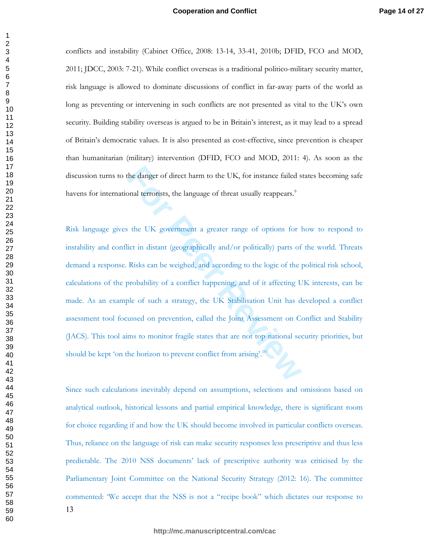conflicts and instability (Cabinet Office, 2008: 13-14, 33-41, 2010b; DFID, FCO and MOD, 2011; JDCC, 2003: 7-21). While conflict overseas is a traditional politico-military security matter, risk language is allowed to dominate discussions of conflict in far-away parts of the world as long as preventing or intervening in such conflicts are not presented as vital to the UK's own security. Building stability overseas is argued to be in Britain's interest, as it may lead to a spread of Britain's democratic values. It is also presented as cost-effective, since prevention is cheaper than humanitarian (military) intervention (DFID, FCO and MOD, 2011: 4). As soon as the discussion turns to the danger of direct harm to the UK, for instance failed states becoming safe havens for international terrorists, the language of threat usually reappears.<sup>9</sup>

the danger of direct harm to the UK, for instance failed s<br>
sonal terrorists, the language of threat usually reappears.<sup>9</sup><br>
For the UK government a greater range of options for l<br>
lict in distant (geographically and/or pol Risk language gives the UK government a greater range of options for how to respond to instability and conflict in distant (geographically and/or politically) parts of the world. Threats demand a response. Risks can be weighed, and according to the logic of the political risk school, calculations of the probability of a conflict happening, and of it affecting UK interests, can be made. As an example of such a strategy, the UK Stabilisation Unit has developed a conflict assessment tool focussed on prevention, called the Joint Assessment on Conflict and Stability (JACS). This tool aims to monitor fragile states that are not top national security priorities, but should be kept 'on the horizon to prevent conflict from arising'.<sup>10</sup>

Since such calculations inevitably depend on assumptions, selections and omissions based on analytical outlook, historical lessons and partial empirical knowledge, there is significant room for choice regarding if and how the UK should become involved in particular conflicts overseas. Thus, reliance on the language of risk can make security responses less prescriptive and thus less predictable. The 2010 NSS documents' lack of prescriptive authority was criticised by the Parliamentary Joint Committee on the National Security Strategy (2012: 16). The committee commented: 'We accept that the NSS is not a "recipe book" which dictates our response to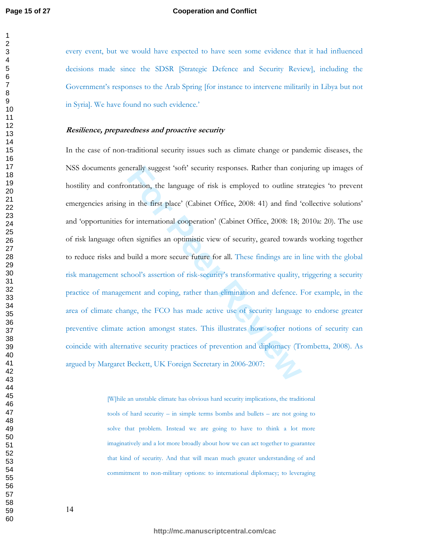#### **Cooperation and Conflict**

every event, but we would have expected to have seen some evidence that it had influenced decisions made since the SDSR [Strategic Defence and Security Review], including the Government's responses to the Arab Spring [for instance to intervene militarily in Libya but not in Syria]. We have found no such evidence.'

#### **Resilience, preparedness and proactive security**

nerally suggest 'soft' security responses. Rather than conjuntation, the language of risk is employed to outline st<br>in the first place' (Cabinet Office, 2008: 41) and find 'or<br>ior international cooperation' (Cabinet Office In the case of non-traditional security issues such as climate change or pandemic diseases, the NSS documents generally suggest 'soft' security responses. Rather than conjuring up images of hostility and confrontation, the language of risk is employed to outline strategies 'to prevent emergencies arising in the first place' (Cabinet Office, 2008: 41) and find 'collective solutions' and 'opportunities for international cooperation' (Cabinet Office, 2008: 18; 2010a: 20). The use of risk language often signifies an optimistic view of security, geared towards working together to reduce risks and build a more secure future for all. These findings are in line with the global risk management school's assertion of risk-security's transformative quality, triggering a security practice of management and coping, rather than elimination and defence. For example, in the area of climate change, the FCO has made active use of security language to endorse greater preventive climate action amongst states. This illustrates how softer notions of security can coincide with alternative security practices of prevention and diplomacy (Trombetta, 2008). As argued by Margaret Beckett, UK Foreign Secretary in 2006-2007:

> [W]hile an unstable climate has obvious hard security implications, the traditional tools of hard security  $-$  in simple terms bombs and bullets  $-$  are not going to solve that problem. Instead we are going to have to think a lot more imaginatively and a lot more broadly about how we can act together to guarantee that kind of security. And that will mean much greater understanding of and commitment to non-military options: to international diplomacy; to leveraging

**http://mc.manuscriptcentral.com/cac**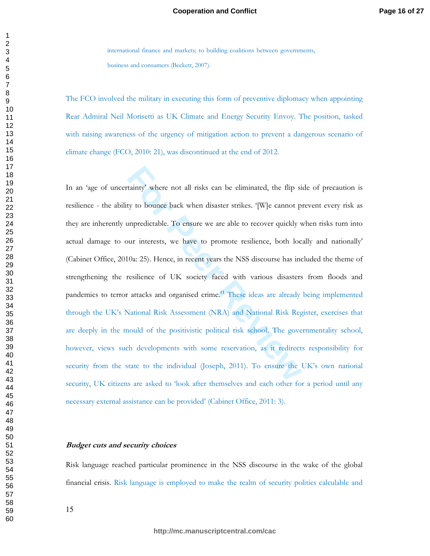international finance and markets; to building coalitions between governments, business and consumers (Beckett, 2007).

The FCO involved the military in executing this form of preventive diplomacy when appointing Rear Admiral Neil Morisetti as UK Climate and Energy Security Envoy. The position, tasked with raising awareness of the urgency of mitigation action to prevent a dangerous scenario of climate change (FCO, 2010: 21), was discontinued at the end of 2012.

tainty' where not all risks can be eliminated, the flip sity to bounce back when disaster strikes. '[W]e cannot p unpredictable. To ensure we are able to recover quickly v<br>unr interests, we have to promote resilience, both In an 'age of uncertainty' where not all risks can be eliminated, the flip side of precaution is resilience - the ability to bounce back when disaster strikes. '[W]e cannot prevent every risk as they are inherently unpredictable. To ensure we are able to recover quickly when risks turn into actual damage to our interests, we have to promote resilience, both locally and nationally' (Cabinet Office, 2010a: 25). Hence, in recent years the NSS discourse has included the theme of strengthening the resilience of UK society faced with various disasters from floods and pandemics to terror attacks and organised crime.<sup>11</sup> These ideas are already being implemented through the UK's National Risk Assessment (NRA) and National Risk Register, exercises that are deeply in the mould of the positivistic political risk school. The governmentality school, however, views such developments with some reservation, as it redirects responsibility for security from the state to the individual (Joseph, 2011). To ensure the UK's own national security, UK citizens are asked to 'look after themselves and each other for a period until any necessary external assistance can be provided' (Cabinet Office, 2011: 3).

#### Budget cuts and security choices

Risk language reached particular prominence in the NSS discourse in the wake of the global financial crisis. Risk language is employed to make the realm of security politics calculable and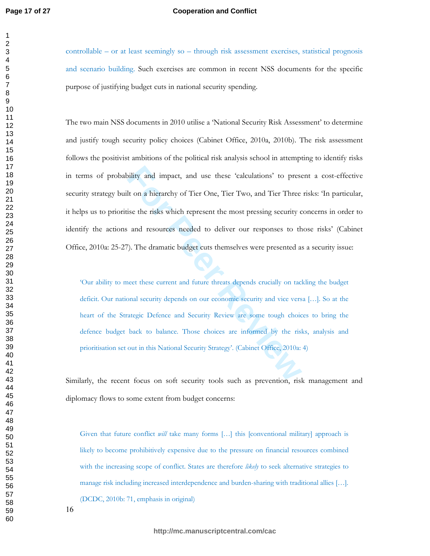#### **Cooperation and Conflict**

controllable - or at least seemingly so - through risk assessment exercises, statistical prognosis and scenario building. Such exercises are common in recent NSS documents for the specific purpose of justifying budget cuts in national security spending.

bility and impact, and use these 'calculations' to prese<br>It on a hierarchy of Tier One, Tier Two, and Tier Three<br>ise the risks which represent the most pressing security c<br>and resources needed to deliver our responses to t The two main NSS documents in 2010 utilise a 'National Security Risk Assessment' to determine and justify tough security policy choices (Cabinet Office, 2010a, 2010b). The risk assessment follows the positivist ambitions of the political risk analysis school in attempting to identify risks in terms of probability and impact, and use these 'calculations' to present a cost-effective security strategy built on a hierarchy of Tier One, Tier Two, and Tier Three risks: 'In particular, it helps us to prioritise the risks which represent the most pressing security concerns in order to identify the actions and resources needed to deliver our responses to those risks' (Cabinet Office, 2010a: 25-27). The dramatic budget cuts themselves were presented as a security issue:

'Our ability to meet these current and future threats depends crucially on tackling the budget deficit. Our national security depends on our economic security and vice versa [...]. So at the heart of the Strategic Defence and Security Review are some tough choices to bring the defence budget back to balance. Those choices are informed by the risks, analysis and prioritisation set out in this National Security Strategy'. (Cabinet Office, 2010a: 4)

Similarly, the recent focus on soft security tools such as prevention, risk management and diplomacy flows to some extent from budget concerns:

Given that future conflict *will* take many forms [...] this [conventional military] approach is likely to become prohibitively expensive due to the pressure on financial resources combined with the increasing scope of conflict. States are therefore likely to seek alternative strategies to manage risk including increased interdependence and burden-sharing with traditional allies [...]. (DCDC, 2010b: 71, emphasis in original)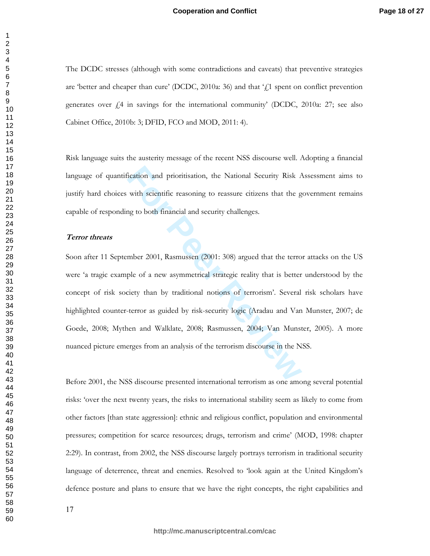#### **Cooperation and Conflict**

The DCDC stresses (although with some contradictions and caveats) that preventive strategies are 'better and cheaper than cure' (DCDC, 2010a: 36) and that  $\frac{1}{k}$ 1 spent on conflict prevention generates over  $\pm 4$  in savings for the international community' (DCDC, 2010a: 27; see also Cabinet Office, 2010b: 3; DFID, FCO and MOD, 2011: 4).

Risk language suits the austerity message of the recent NSS discourse well. Adopting a financial language of quantification and prioritisation, the National Security Risk Assessment aims to justify hard choices with scientific reasoning to reassure citizens that the government remains capable of responding to both financial and security challenges.

#### $\int$ *Terror* threats

Fraction and prioritisation, the National Security Risk A with scientific reasoning to reassure citizens that the g<br>and the set of the material and security challenges.<br>The set of a new asymmetrical strategic reality that Soon after 11 September 2001, Rasmussen (2001: 308) argued that the terror attacks on the US were 'a tragic example of a new asymmetrical strategic reality that is better understood by the concept of risk society than by traditional notions of terrorism'. Several risk scholars have highlighted counter-terror as guided by risk-security logic (Aradau and Van Munster, 2007; de Goede, 2008; Mythen and Walklate, 2008; Rasmussen, 2004; Van Munster, 2005). A more nuanced picture emerges from an analysis of the terrorism discourse in the NSS.

Before 2001, the NSS discourse presented international terrorism as one among several potential risks: 'over the next twenty years, the risks to international stability seem as likely to come from other factors [than state aggression]: ethnic and religious conflict, population and environmental pressures; competition for scarce resources; drugs, terrorism and crime' (MOD, 1998: chapter 2:29). In contrast, from 2002, the NSS discourse largely portrays terrorism in traditional security language of deterrence, threat and enemies. Resolved to 'look again at the United Kingdom's defence posture and plans to ensure that we have the right concepts, the right capabilities and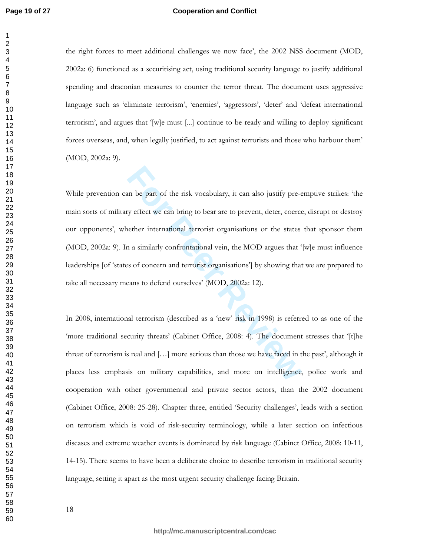$\mathbf{1}$ 

#### **Cooperation and Conflict**

the right forces to meet additional challenges we now face', the 2002 NSS document (MOD, 2002a: 6) functioned as a securitising act, using traditional security language to justify additional spending and draconian measures to counter the terror threat. The document uses aggressive language such as 'eliminate terrorism', 'enemies', 'aggressors', 'deter' and 'defeat international terrorism', and argues that '[w]e must [...] continue to be ready and willing to deploy significant forces overseas, and, when legally justified, to act against terrorists and those who harbour them' (MOD, 2002a: 9).

In be part of the risk vocabulary, it can also justify pre-cy effect we can bring to bear are to prevent, deter, coerce effect international terrorist organisations or the states a a similarly confrontational vein, the MOD While prevention can be part of the risk vocabulary, it can also justify pre-emptive strikes: 'the main sorts of military effect we can bring to bear are to prevent, deter, coerce, disrupt or destroy our opponents', whether international terrorist organisations or the states that sponsor them (MOD, 2002a: 9). In a similarly confrontational vein, the MOD argues that '[w]e must influence leaderships [of 'states of concern and terrorist organisations'] by showing that we are prepared to take all necessary means to defend ourselves' (MOD, 2002a: 12).

In 2008, international terrorism (described as a 'new' risk in 1998) is referred to as one of the 'more traditional security threats' (Cabinet Office, 2008: 4). The document stresses that '[t]he threat of terrorism is real and  $[...]$  more serious than those we have faced in the past', although it places less emphasis on military capabilities, and more on intelligence, police work and cooperation with other governmental and private sector actors, than the 2002 document (Cabinet Office, 2008: 25-28). Chapter three, entitled 'Security challenges', leads with a section on terrorism which is void of risk-security terminology, while a later section on infectious diseases and extreme weather events is dominated by risk language (Cabinet Office, 2008: 10-11, 14-15). There seems to have been a deliberate choice to describe terrorism in traditional security language, setting it apart as the most urgent security challenge facing Britain.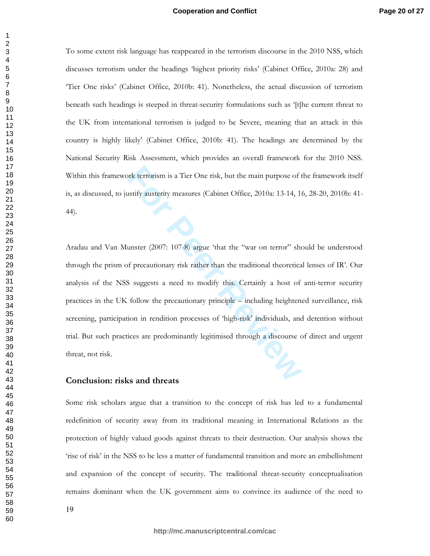#### **Cooperation and Conflict**

To some extent risk language has reappeared in the terrorism discourse in the 2010 NSS, which discusses terrorism under the headings 'highest priority risks' (Cabinet Office, 2010a: 28) and 'Tier One risks' (Cabinet Office, 2010b: 41). Nonetheless, the actual discussion of terrorism beneath such headings is steeped in threat-security formulations such as '[t]he current threat to the UK from international terrorism is judged to be Severe, meaning that an attack in this country is highly likely' (Cabinet Office, 2010b: 41). The headings are determined by the National Security Risk Assessment, which provides an overall framework for the 2010 NSS. Within this framework terrorism is a Tier One risk, but the main purpose of the framework itself is, as discussed, to justify austerity measures (Cabinet Office, 2010a: 13-14, 16, 28-20, 2010b: 41-44).

brit terrorism is a Tier One risk, but the main purpose of the ustify austerity measures (Cabinet Office, 2010a: 13-14, 14<br>
Hunster (2007: 107-8) argue 'that the "war on terror" she<br>
of precautionary risk rather than the t Aradau and Van Munster (2007: 107-8) argue 'that the "war on terror" should be understood through the prism of precautionary risk rather than the traditional theoretical lenses of IR'. Our analysis of the NSS suggests a need to modify this. Certainly a host of anti-terror security practices in the UK follow the precautionary principle – including heightened surveillance, risk screening, participation in rendition processes of 'high-risk' individuals, and detention without trial. But such practices are predominantly legitimised through a discourse of direct and urgent threat, not risk.

#### Conclusion: risks and threats

Some risk scholars argue that a transition to the concept of risk has led to a fundamental redefinition of security away from its traditional meaning in International Relations as the protection of highly valued goods against threats to their destruction. Our analysis shows the 'rise of risk' in the NSS to be less a matter of fundamental transition and more an embellishment and expansion of the concept of security. The traditional threat-security conceptualisation remains dominant when the UK government aims to convince its audience of the need to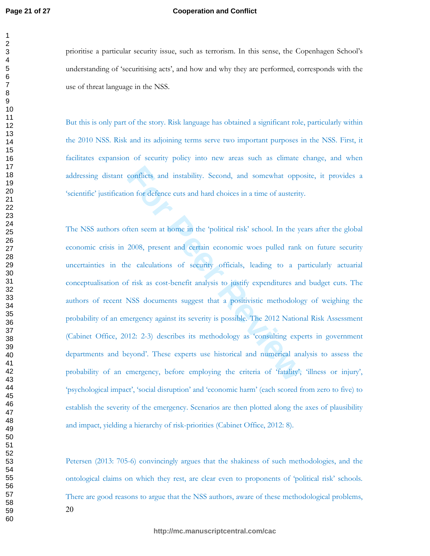#### **Cooperation and Conflict**

prioritise a particular security issue, such as terrorism. In this sense, the Copenhagen School's understanding of 'securitising acts', and how and why they are performed, corresponds with the use of threat language in the NSS.

But this is only part of the story. Risk language has obtained a significant role, particularly within the 2010 NSS. Risk and its adjoining terms serve two important purposes in the NSS. First, it facilitates expansion of security policy into new areas such as climate change, and when addressing distant conflicts and instability. Second, and somewhat opposite, it provides a 'scientific' justification for defence cuts and hard choices in a time of austerity.

conflicts and instability. Second, and somewhat opportual of the second in a time of austerity of fien seem at home in the 'political risk' school. In the year of the second, present and certain economic woes pulled rank e The NSS authors often seem at home in the 'political risk' school. In the years after the global economic crisis in 2008, present and certain economic woes pulled rank on future security uncertainties in the calculations of security officials, leading to a particularly actuarial conceptualisation of risk as cost-benefit analysis to justify expenditures and budget cuts. The authors of recent NSS documents suggest that a positivistic methodology of weighing the probability of an emergency against its severity is possible. The 2012 National Risk Assessment (Cabinet Office, 2012: 2-3) describes its methodology as 'consulting experts in government departments and beyond'. These experts use historical and numerical analysis to assess the probability of an emergency, before employing the criteria of 'fatality', 'illness or injury', 'psychological impact', 'social disruption' and 'economic harm' (each scored from zero to five) to establish the severity of the emergency. Scenarios are then plotted along the axes of plausibility and impact, yielding a hierarchy of risk-priorities (Cabinet Office, 2012: 8).

Petersen (2013: 705-6) convincingly argues that the shakiness of such methodologies, and the ontological claims on which they rest, are clear even to proponents of 'political risk' schools. There are good reasons to argue that the NSS authors, aware of these methodological problems,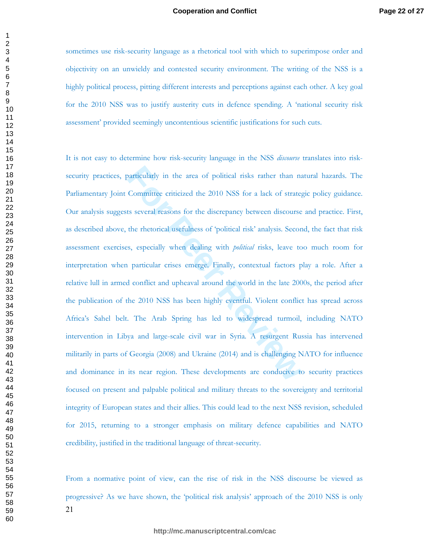sometimes use risk-security language as a rhetorical tool with which to superimpose order and objectivity on an unwieldy and contested security environment. The writing of the NSS is a highly political process, pitting different interests and perceptions against each other. A key goal for the 2010 NSS was to justify austerity cuts in defence spending. A 'national security risk assessment' provided seemingly uncontentious scientific justifications for such cuts.

particularly in the area of political risks rather than na<br>Committee criticized the 2010 NSS for a lack of strateg<br>ts several reasons for the discrepancy between discourse<br>the rhetorical usefulness of 'political risk' anal It is not easy to determine how risk-security language in the NSS *discourse* translates into risksecurity practices, particularly in the area of political risks rather than natural hazards. The Parliamentary Joint Committee criticized the 2010 NSS for a lack of strategic policy guidance. Our analysis suggests several reasons for the discrepancy between discourse and practice. First, as described above, the rhetorical usefulness of 'political risk' analysis. Second, the fact that risk assessment exercises, especially when dealing with *political* risks, leave too much room for interpretation when particular crises emerge. Finally, contextual factors play a role. After a relative lull in armed conflict and upheaval around the world in the late 2000s, the period after the publication of the 2010 NSS has been highly eventful. Violent conflict has spread across Africa's Sahel belt. The Arab Spring has led to widespread turmoil, including NATO intervention in Libya and large-scale civil war in Syria. A resurgent Russia has intervened militarily in parts of Georgia (2008) and Ukraine (2014) and is challenging NATO for influence and dominance in its near region. These developments are conducive to security practices focused on present and palpable political and military threats to the sovereignty and territorial integrity of European states and their allies. This could lead to the next NSS revision, scheduled for 2015, returning to a stronger emphasis on military defence capabilities and NATO credibility, justified in the traditional language of threat-security.

From a normative point of view, can the rise of risk in the NSS discourse be viewed as progressive? As we have shown, the 'political risk analysis' approach of the 2010 NSS is only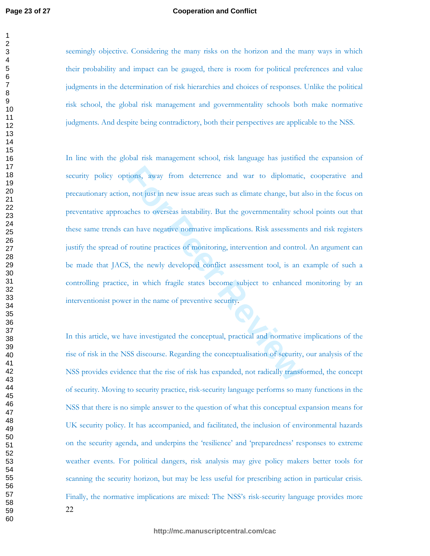$\mathbf{1}$ 

#### **Cooperation and Conflict**

seemingly objective. Considering the many risks on the horizon and the many ways in which their probability and impact can be gauged, there is room for political preferences and value judgments in the determination of risk hierarchies and choices of responses. Unlike the political risk school, the global risk management and governmentality schools both make normative judgments. And despite being contradictory, both their perspectives are applicable to the NSS.

tions, away from deterrence and war to diplomation, not just in new issue areas such as climate change, but and the sover seas instability. But the governmentality schan have negative normative implications. Risk assessmen In line with the global risk management school, risk language has justified the expansion of security policy options, away from deterrence and war to diplomatic, cooperative and precautionary action, not just in new issue areas such as climate change, but also in the focus on preventative approaches to overseas instability. But the governmentality school points out that these same trends can have negative normative implications. Risk assessments and risk registers justify the spread of routine practices of monitoring, intervention and control. An argument can be made that JACS, the newly developed conflict assessment tool, is an example of such a controlling practice, in which fragile states become subject to enhanced monitoring by an interventionist power in the name of preventive security.

In this article, we have investigated the conceptual, practical and normative implications of the rise of risk in the NSS discourse. Regarding the conceptualisation of security, our analysis of the NSS provides evidence that the rise of risk has expanded, not radically transformed, the concept of security. Moving to security practice, risk-security language performs so many functions in the NSS that there is no simple answer to the question of what this conceptual expansion means for UK security policy. It has accompanied, and facilitated, the inclusion of environmental hazards on the security agenda, and underpins the 'resilience' and 'preparedness' responses to extreme weather events. For political dangers, risk analysis may give policy makers better tools for scanning the security horizon, but may be less useful for prescribing action in particular crisis. Finally, the normative implications are mixed: The NSS's risk-security language provides more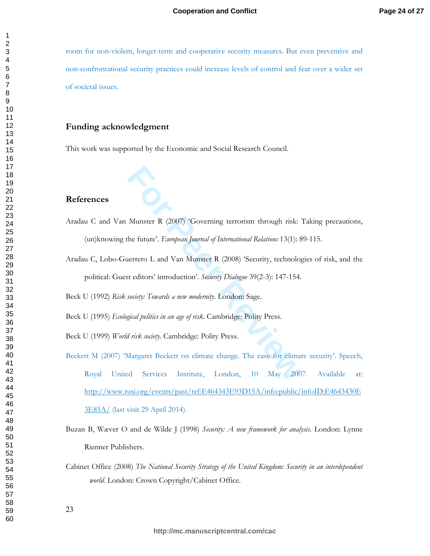room for non-violent, longer-term and cooperative security measures. But even preventive and non-confrontational security practices could increase levels of control and fear over a wider set of societal issues.

#### Funding acknowledgment

This work was supported by the Economic and Social Research Council.

#### **References**

- Aradau C and Van Munster R (2007) 'Governing terrorism through risk: Taking precautions, (un) knowing the future'. *European Journal of International Relations* 13(1): 89-115.
- Aradau C, Lobo-Guerrero L and Van Munster R (2008) 'Security, technologies of risk, and the political: Guest editors' introduction'. Security Dialogue 39(2-3): 147-154.

Beck U (1992) Risk society: Towards a new modernity. London: Sage.

Beck U (1995) *Ecological politics in an age of risk*. Cambridge: Polity Press.

Beck U (1999) World risk society. Cambridge: Polity Press.

- **Formal Scheme Terrorism in through risk:**<br>
The future'. *European Journal of International Relations* 13(1): 8<br>
nerrero L and Van Munster R (2008) 'Security, technolog<br>
st editors' introduction'. *Security Dialogue* 39(2-Beckett M (2007) 'Margaret Beckett on climate change. The case for climate security'. Speech, Royal United Services Institute, London, 10 May 2007. Available at: http://www.rusi.org/events/past/ref:E464343E93D15A/info:public/infoID:E4643430E 3E85A/ (last visit 29 April 2014).
- Buzan B, Wæver O and de Wilde J (1998) Security: A new framework for analysis. London: Lynne Rienner Publishers.
- Cabinet Office (2008) The National Security Strategy of the United Kingdom: Security in an interdependent world. London: Crown Copyright/Cabinet Office.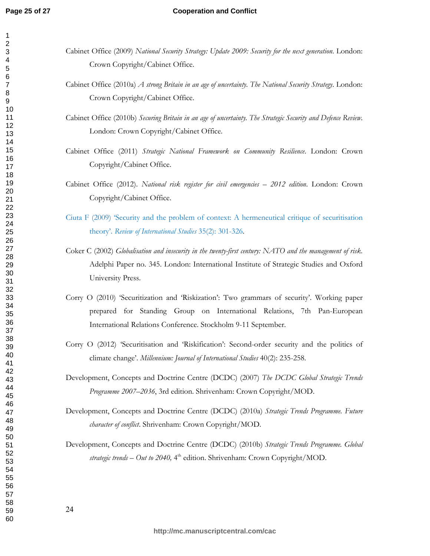$\mathbf{1}$  $\overline{2}$ 3  $\overline{\mathbf{4}}$ 5 6

#### **Cooperation and Conflict**

| Cabinet Office (2009) National Security Strategy: Update 2009: Security for the next generation. London:<br>Crown Copyright/Cabinet Office.                                                                                             |
|-----------------------------------------------------------------------------------------------------------------------------------------------------------------------------------------------------------------------------------------|
| Cabinet Office (2010a) A strong Britain in an age of uncertainty. The National Security Strategy. London:<br>Crown Copyright/Cabinet Office.                                                                                            |
| Cabinet Office (2010b) Securing Britain in an age of uncertainty. The Strategic Security and Defence Review.<br>London: Crown Copyright/Cabinet Office.                                                                                 |
| Cabinet Office (2011) Strategic National Framework on Community Resilience. London: Crown<br>Copyright/Cabinet Office.                                                                                                                  |
| Cabinet Office (2012). National risk register for civil emergencies - 2012 edition. London: Crown<br>Copyright/Cabinet Office.                                                                                                          |
| Ciuta F (2009) 'Security and the problem of context: A hermeneutical critique of securitisation<br>theory'. Review of International Studies 35(2): 301-326.                                                                             |
| Coker C (2002) Globalisation and insecurity in the twenty-first century: NATO and the management of risk.<br>Adelphi Paper no. 345. London: International Institute of Strategic Studies and Oxford<br>University Press.                |
| Corry O (2010) 'Securitization and 'Riskization': Two grammars of security'. Working paper<br>prepared for Standing Group on International Relations, 7th Pan-European<br>International Relations Conference. Stockholm 9-11 September. |
| Corry O (2012) 'Securitisation and 'Riskification': Second-order security and the politics of<br>climate change'. Millennium: Journal of International Studies 40(2): 235-258.                                                          |
| Development, Concepts and Doctrine Centre (DCDC) (2007) The DCDC Global Strategic Trends<br>Programme 2007-2036, 3rd edition. Shrivenham: Crown Copyright/MOD.                                                                          |
| Development, Concepts and Doctrine Centre (DCDC) (2010a) Strategic Trends Programme. Future<br>character of conflict. Shrivenham: Crown Copyright/MOD.                                                                                  |
| Development, Concepts and Doctrine Centre (DCDC) (2010b) Strategic Trends Programme. Global<br>strategic trends - Out to 2040, 4 <sup>th</sup> edition. Shrivenham: Crown Copyright/MOD.                                                |
| 24                                                                                                                                                                                                                                      |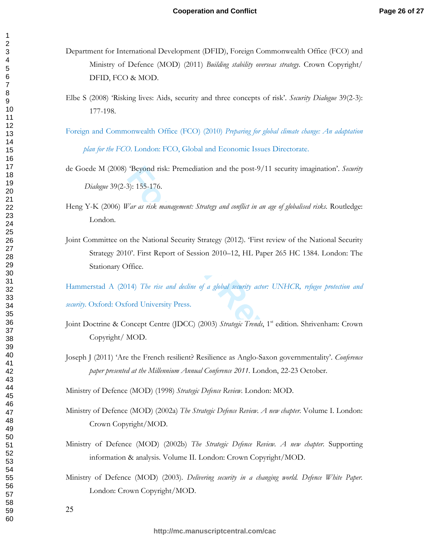- Department for International Development (DFID), Foreign Commonwealth Office (FCO) and Ministry of Defence (MOD) (2011) Building stability overseas strategy. Crown Copyright/ DFID, FCO & MOD.
- Elbe S (2008) 'Risking lives: Aids, security and three concepts of risk'. Security Dialogue 39(2-3): 177-198.
- Foreign and Commonwealth Office (FCO) (2010) Preparing for global climate change: An adaptation plan for the FCO. London: FCO, Global and Economic Issues Directorate.
- de Goede M (2008) 'Beyond risk: Premediation and the post-9/11 security imagination'. Security Dialogue 39(2-3): 155-176.
- Heng Y-K (2006) War as risk management: Strategy and conflict in an age of globalised risks. Routledge: London.
- "Beyond risk: Premediation and the post-9/11 security i<br>
3): 155-176.<br>
"*ar as risk management: Strategy and conflict in an age of globali*<br>
"*ar as risk management: Strategy and conflict in an age of globali*<br>
the Nationa Joint Committee on the National Security Strategy (2012). 'First review of the National Security Strategy 2010'. First Report of Session 2010–12, HL Paper 265 HC 1384. London: The Stationary Office.

Hammerstad A (2014) The rise and decline of a global security actor: UNHCR, refugee protection and

security. Oxford: Oxford University Press.

- Joint Doctrine & Concept Centre (JDCC) (2003) Strategic Trends, 1st edition. Shrivenham: Crown Copyright/MOD.
- Joseph J (2011) 'Are the French resilient? Resilience as Anglo-Saxon governmentality'. Conference paper presented at the Millennium Annual Conference 2011. London, 22-23 October.

Ministry of Defence (MOD) (1998) Strategic Defence Review. London: MOD.

- Ministry of Defence (MOD) (2002a) The Strategic Defence Review. A new chapter. Volume I. London: Crown Copyright/MOD.
- Ministry of Defence (MOD) (2002b) The Strategic Defence Review. A new chapter. Supporting information & analysis. Volume II. London: Crown Copyright/MOD.
- Ministry of Defence (MOD) (2003). Delivering security in a changing world. Defence White Paper. London: Crown Copyright/MOD.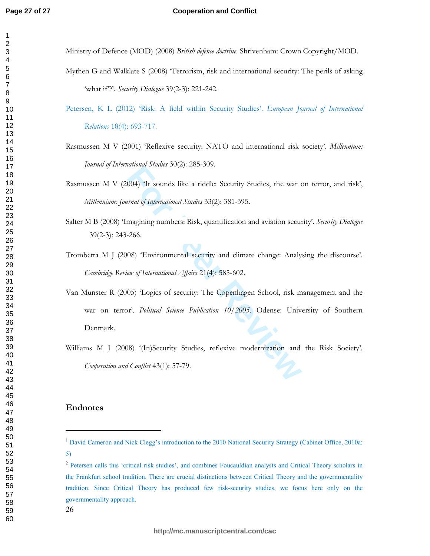#### **Cooperation and Conflict**

Ministry of Defence (MOD) (2008) British defence doctrine. Shrivenham: Crown Copyright/MOD.

- Mythen G and Walklate S (2008) 'Terrorism, risk and international security: The perils of asking 'what if?'. Security Dialogue 39(2-3): 221-242.
- Petersen, K L (2012) 'Risk: A field within Security Studies'. European Journal of International **Relations 18(4): 693-717.**
- Rasmussen M V (2001) 'Reflexive security: NATO and international risk society'. Millennium: *Journal of International Studies* 30(2): 285-309.
- Rasmussen M V (2004) 'It sounds like a riddle: Security Studies, the war on terror, and risk', *Millennium: Journal of International Studies* 33(2): 381-395.
- Salter M B (2008) 'Imagining numbers: Risk, quantification and aviation security'. Security Dialogue  $39(2-3): 243-266.$
- Trombetta M J (2008) 'Environmental security and climate change: Analysing the discourse'. *Cambridge Review of International Affairs* 21(4): 585-602.
- manna smans 30(2). 203-303.<br> **For Peer Review Studies, the war contain of International Studies 33(2): 381-395.**<br> **For Per Review Studies 33(2): 381-395.**<br> **For Per Review All Algers** 21(4): 585-602.<br> **For Peer Review of I** Van Munster R (2005) 'Logics of security: The Copenhagen School, risk management and the war on terror'. Political Science Publication 10/2005. Odense: University of Southern Denmark.
- Williams M J (2008) '(In)Security Studies, reflexive modernization and the Risk Society'. *Cooperation and Conflict* 43(1): 57-79.

#### **Endnotes**

---------------------------------------- --------

<sup>&</sup>lt;sup>1</sup> David Cameron and Nick Clegg's introduction to the 2010 National Security Strategy (Cabinet Office, 2010a: )-

<sup>&</sup>lt;sup>2</sup> Petersen calls this 'critical risk studies', and combines Foucauldian analysts and Critical Theory scholars in the Frankfurt school tradition. There are crucial distinctions between Critical Theory and the governmentality tradition. Since Critical Theory has produced few risk-security studies, we focus here only on the governmentality approach.